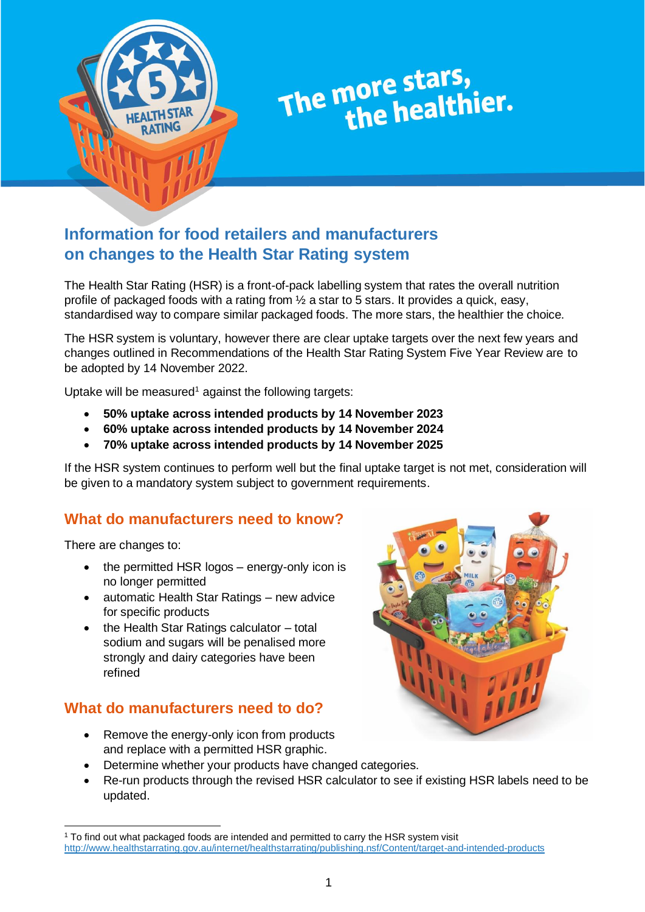

# The more stars,<br>the healthier.

# **Information for food retailers and manufacturers on changes to the Health Star Rating system**

The Health Star Rating (HSR) is a front-of-pack labelling system that rates the overall nutrition profile of packaged foods with a rating from ½ a star to 5 stars. It provides a quick, easy, standardised way to compare similar packaged foods. The more stars, the healthier the choice.

The HSR system is voluntary, however there are clear uptake targets over the next few years and changes outlined in Recommendations of the Health Star Rating System Five Year Review are to be adopted by 14 November 2022.

Uptake will be measured<sup>1</sup> against the following targets:

- **50% uptake across intended products by 14 November 2023**
- **60% uptake across intended products by 14 November 2024**
- **70% uptake across intended products by 14 November 2025**

If the HSR system continues to perform well but the final uptake target is not met, consideration will be given to a mandatory system subject to government requirements.

# **What do manufacturers need to know?**

There are changes to:

- the permitted HSR logos energy-only icon is no longer permitted
- automatic Health Star Ratings new advice for specific products
- the Health Star Ratings calculator total sodium and sugars will be penalised more strongly and dairy categories have been refined

# **What do manufacturers need to do?**

- Remove the energy-only icon from products and replace with a permitted HSR graphic.
- 
- Determine whether your products have changed categories.
- Re-run products through the revised HSR calculator to see if existing HSR labels need to be updated.

<sup>1</sup> To find out what packaged foods are intended and permitted to carry the HSR system visit <http://www.healthstarrating.gov.au/internet/healthstarrating/publishing.nsf/Content/target-and-intended-products>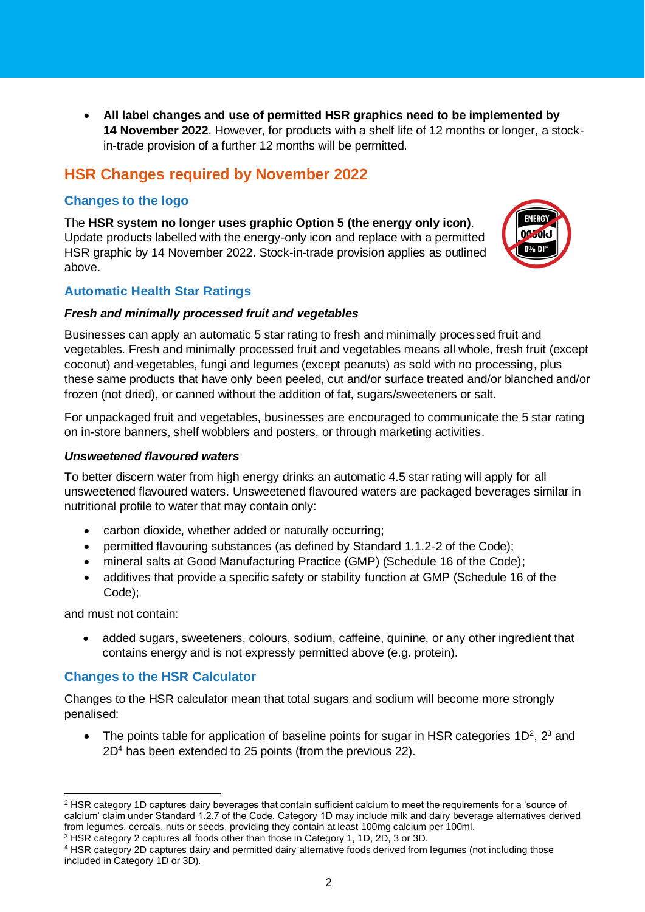• **All label changes and use of permitted HSR graphics need to be implemented by 14 November 2022**. However, for products with a shelf life of 12 months or longer, a stockin-trade provision of a further 12 months will be permitted.

# **HSR Changes required by November 2022**

## **Changes to the logo**

The **HSR system no longer uses graphic Option 5 (the energy only icon)**. Update products labelled with the energy-only icon and replace with a permitted HSR graphic by 14 November 2022. Stock-in-trade provision applies as outlined above.



## **Automatic Health Star Ratings**

#### *Fresh and minimally processed fruit and vegetables*

Businesses can apply an automatic 5 star rating to fresh and minimally processed fruit and vegetables. Fresh and minimally processed fruit and vegetables means all whole, fresh fruit (except coconut) and vegetables, fungi and legumes (except peanuts) as sold with no processing, plus these same products that have only been peeled, cut and/or surface treated and/or blanched and/or frozen (not dried), or canned without the addition of fat, sugars/sweeteners or salt.

For unpackaged fruit and vegetables, businesses are encouraged to communicate the 5 star rating on in-store banners, shelf wobblers and posters, or through marketing activities.

#### *Unsweetened flavoured waters*

To better discern water from high energy drinks an automatic 4.5 star rating will apply for all unsweetened flavoured waters. Unsweetened flavoured waters are packaged beverages similar in nutritional profile to water that may contain only:

- carbon dioxide, whether added or naturally occurring;
- permitted flavouring substances (as defined by Standard 1.1.2-2 of the Code);
- mineral salts at Good Manufacturing Practice (GMP) (Schedule 16 of the Code);
- additives that provide a specific safety or stability function at GMP (Schedule 16 of the Code);

and must not contain:

• added sugars, sweeteners, colours, sodium, caffeine, quinine, or any other ingredient that contains energy and is not expressly permitted above (e.g. protein).

## **Changes to the HSR Calculator**

Changes to the HSR calculator mean that total sugars and sodium will become more strongly penalised:

• The points table for application of baseline points for sugar in HSR categories  $1D^2$ ,  $2^3$  and 2D<sup>4</sup> has been extended to 25 points (from the previous 22).

<sup>2</sup> HSR category 1D captures dairy beverages that contain sufficient calcium to meet the requirements for a 'source of calcium' claim under Standard 1.2.7 of the Code. Category 1D may include milk and dairy beverage alternatives derived from legumes, cereals, nuts or seeds, providing they contain at least 100mg calcium per 100ml.

<sup>3</sup> HSR category 2 captures all foods other than those in Category 1, 1D, 2D, 3 or 3D.

<sup>4</sup> HSR category 2D captures dairy and permitted dairy alternative foods derived from legumes (not including those included in Category 1D or 3D).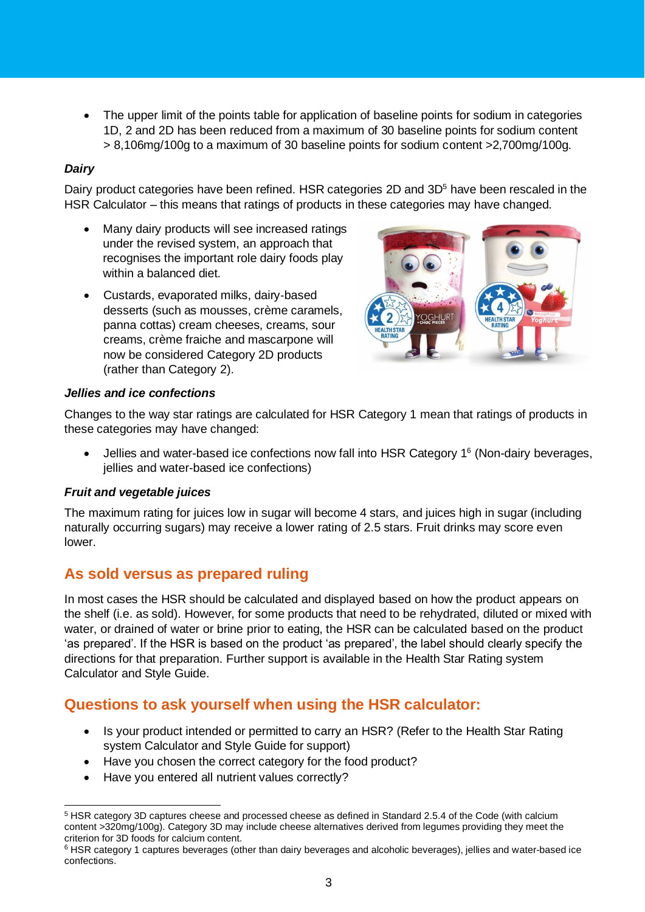• The upper limit of the points table for application of baseline points for sodium in categories 1D, 2 and 2D has been reduced from a maximum of 30 baseline points for sodium content > 8,106mg/100g to a maximum of 30 baseline points for sodium content >2,700mg/100g.

## *Dairy*

Dairy product categories have been refined. HSR categories 2D and 3D<sup>5</sup> have been rescaled in the HSR Calculator – this means that ratings of products in these categories may have changed.

- Many dairy products will see increased ratings under the revised system, an approach that recognises the important role dairy foods play within a balanced diet.
- Custards, evaporated milks, dairy‑based desserts (such as mousses, crème caramels, panna cottas) cream cheeses, creams, sour creams, crème fraiche and mascarpone will now be considered Category 2D products (rather than Category 2).



## *Jellies and ice confections*

Changes to the way star ratings are calculated for HSR Category 1 mean that ratings of products in these categories may have changed:

 $\bullet$  Jellies and water-based ice confections now fall into HSR Category 1<sup>6</sup> (Non-dairy beverages, jellies and water-based ice confections)

## *Fruit and vegetable juices*

The maximum rating for juices low in sugar will become 4 stars, and juices high in sugar (including naturally occurring sugars) may receive a lower rating of 2.5 stars. Fruit drinks may score even lower.

# **As sold versus as prepared ruling**

In most cases the HSR should be calculated and displayed based on how the product appears on the shelf (i.e. as sold). However, for some products that need to be rehydrated, diluted or mixed with water, or drained of water or brine prior to eating, the HSR can be calculated based on the product 'as prepared'. If the HSR is based on the product 'as prepared', the label should clearly specify the directions for that preparation. Further support is available in the Health Star Rating system Calculator and Style Guide.

# **Questions to ask yourself when using the HSR calculator:**

- Is your product intended or permitted to carry an HSR? (Refer to the Health Star Rating system Calculator and Style Guide for support)
- Have you chosen the correct category for the food product?
- Have you entered all nutrient values correctly?

<sup>5</sup> HSR category 3D captures cheese and processed cheese as defined in Standard 2.5.4 of the Code (with calcium content >320mg/100g). Category 3D may include cheese alternatives derived from legumes providing they meet the criterion for 3D foods for calcium content.

<sup>&</sup>lt;sup>6</sup> HSR category 1 captures beverages (other than dairy beverages and alcoholic beverages), jellies and water-based ice confections.